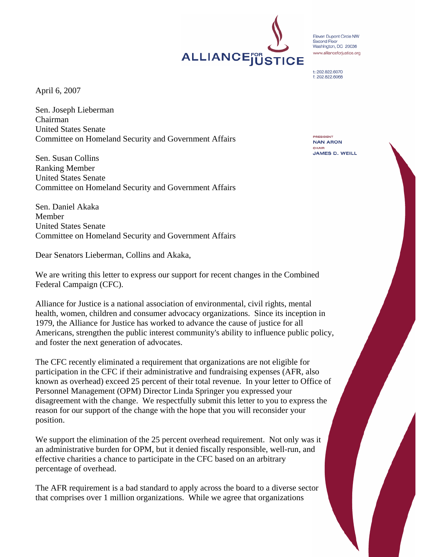April 6, 2007

Sen. Joseph Lieberman Chairman United States Senate Committee on Homeland Security and Government Affairs

Sen. Susan Collins Ranking Member United States Senate Committee on Homeland Security and Government Affairs

Sen. Daniel Akaka Member United States Senate Committee on Homeland Security and Government Affairs

Dear Senators Lieberman, Collins and Akaka,

We are writing this letter to express our support for recent changes in the Combined Federal Campaign (CFC).

Alliance for Justice is a national association of environmental, civil rights, mental health, women, children and consumer advocacy organizations. Since its inception in 1979, the Alliance for Justice has worked to advance the cause of justice for all Americans, strengthen the public interest community's ability to influence public policy, and foster the next generation of advocates.

The CFC recently eliminated a requirement that organizations are not eligible for participation in the CFC if their administrative and fundraising expenses (AFR, also known as overhead) exceed 25 percent of their total revenue. In your letter to Office of Personnel Management (OPM) Director Linda Springer you expressed your disagreement with the change. We respectfully submit this letter to you to express the reason for our support of the change with the hope that you will reconsider your position.

We support the elimination of the 25 percent overhead requirement. Not only was it an administrative burden for OPM, but it denied fiscally responsible, well-run, and effective charities a chance to participate in the CFC based on an arbitrary percentage of overhead.

The AFR requirement is a bad standard to apply across the board to a diverse sector that comprises over 1 million organizations. While we agree that organizations

**PRESIDENT NAN ARON** CHAIR **JAMES D. WEILL** 



Eleven Dupont Circle NW Second Floor Second Floor<br>Washington, DC 20036 www.allianceforiustice.org

t: 202.822.6070 f: 202.822.6068